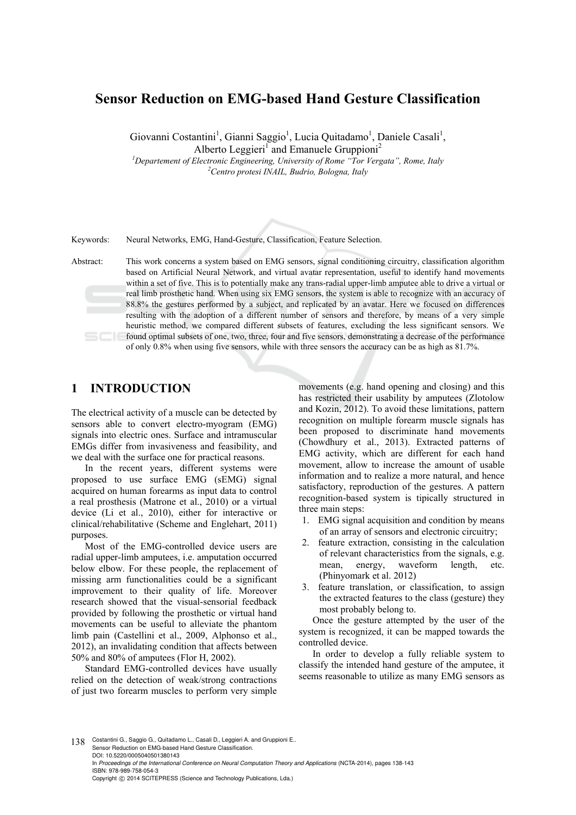# **Sensor Reduction on EMG-based Hand Gesture Classification**

Giovanni Costantini<sup>1</sup>, Gianni Saggio<sup>1</sup>, Lucia Quitadamo<sup>1</sup>, Daniele Casali<sup>1</sup>, Alberto Leggieri<sup>1</sup> and Emanuele Gruppioni<sup>2</sup>

<sup>1</sup> Departement of Electronic Engineering, University of Rome "Tor Vergata", Rome, Italy <sup>2</sup>Cantro protesi *INAIL* Budwig Belgang, Italy *Centro protesi INAIL, Budrio, Bologna, Italy* 

Keywords: Neural Networks, EMG, Hand-Gesture, Classification, Feature Selection.

Abstract: This work concerns a system based on EMG sensors, signal conditioning circuitry, classification algorithm based on Artificial Neural Network, and virtual avatar representation, useful to identify hand movements within a set of five. This is to potentially make any trans-radial upper-limb amputee able to drive a virtual or real limb prosthetic hand. When using six EMG sensors, the system is able to recognize with an accuracy of 88.8% the gestures performed by a subject, and replicated by an avatar. Here we focused on differences resulting with the adoption of a different number of sensors and therefore, by means of a very simple heuristic method, we compared different subsets of features, excluding the less significant sensors. We found optimal subsets of one, two, three, four and five sensors, demonstrating a decrease of the performance of only 0.8% when using five sensors, while with three sensors the accuracy can be as high as 81.7%.

# **1 INTRODUCTION**

The electrical activity of a muscle can be detected by sensors able to convert electro-myogram (EMG) signals into electric ones. Surface and intramuscular EMGs differ from invasiveness and feasibility, and we deal with the surface one for practical reasons.

In the recent years, different systems were proposed to use surface EMG (sEMG) signal acquired on human forearms as input data to control a real prosthesis (Matrone et al., 2010) or a virtual device (Li et al., 2010), either for interactive or clinical/rehabilitative (Scheme and Englehart, 2011) purposes.

Most of the EMG-controlled device users are radial upper-limb amputees, i.e. amputation occurred below elbow. For these people, the replacement of missing arm functionalities could be a significant improvement to their quality of life. Moreover research showed that the visual-sensorial feedback provided by following the prosthetic or virtual hand movements can be useful to alleviate the phantom limb pain (Castellini et al., 2009, Alphonso et al., 2012), an invalidating condition that affects between 50% and 80% of amputees (Flor H, 2002).

Standard EMG-controlled devices have usually relied on the detection of weak/strong contractions of just two forearm muscles to perform very simple

movements (e.g. hand opening and closing) and this has restricted their usability by amputees (Zlotolow and Kozin, 2012). To avoid these limitations, pattern recognition on multiple forearm muscle signals has been proposed to discriminate hand movements (Chowdhury et al., 2013). Extracted patterns of EMG activity, which are different for each hand movement, allow to increase the amount of usable information and to realize a more natural, and hence satisfactory, reproduction of the gestures. A pattern recognition-based system is tipically structured in three main steps:

- 1. EMG signal acquisition and condition by means of an array of sensors and electronic circuitry;
- 2. feature extraction, consisting in the calculation of relevant characteristics from the signals, e.g. mean, energy, waveform length, etc. (Phinyomark et al. 2012)
- 3. feature translation, or classification, to assign the extracted features to the class (gesture) they most probably belong to.

Once the gesture attempted by the user of the system is recognized, it can be mapped towards the controlled device.

In order to develop a fully reliable system to classify the intended hand gesture of the amputee, it seems reasonable to utilize as many EMG sensors as

138 Costantini G., Saggio G., Quitadamo L., Casali D., Leggieri A. and Gruppioni E. Sensor Reduction on EMG-based Hand Gesture Classification. DOI: 10.5220/0005040501380143 In *Proceedings of the International Conference on Neural Computation Theory and Applications* (NCTA-2014), pages 138-143 ISBN: 978-989-758-054-3 Copyright © 2014 SCITEPRESS (Science and Technology Publications, Lda.)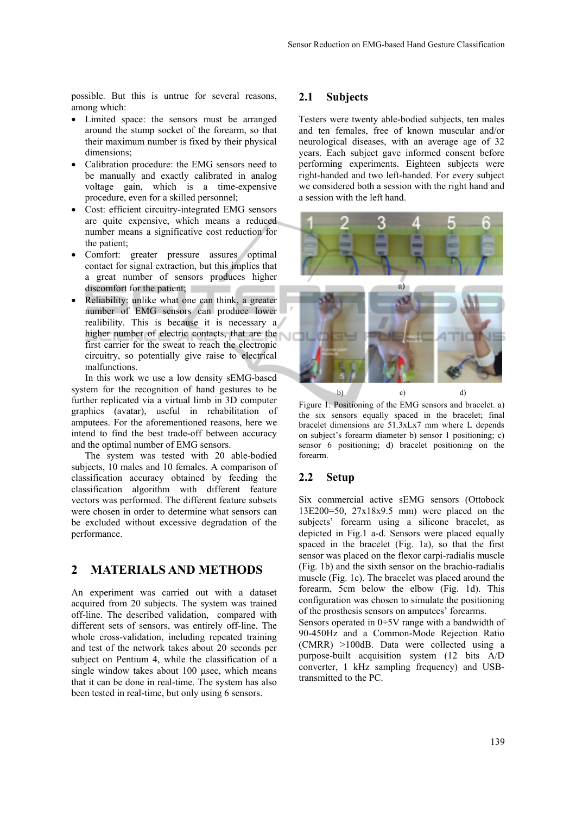possible. But this is untrue for several reasons, among which:

- Limited space: the sensors must be arranged around the stump socket of the forearm, so that their maximum number is fixed by their physical dimensions;
- Calibration procedure: the EMG sensors need to be manually and exactly calibrated in analog voltage gain, which is a time-expensive procedure, even for a skilled personnel;
- Cost: efficient circuitry-integrated EMG sensors are quite expensive, which means a reduced number means a significative cost reduction for the patient;
- Comfort: greater pressure assures optimal contact for signal extraction, but this implies that a great number of sensors produces higher discomfort for the patient;
- Reliability: unlike what one can think, a greater number of EMG sensors can produce lower realibility. This is because it is necessary a higher number of electric contacts, that are the first carrier for the sweat to reach the electronic circuitry, so potentially give raise to electrical malfunctions.

In this work we use a low density sEMG-based system for the recognition of hand gestures to be further replicated via a virtual limb in 3D computer graphics (avatar), useful in rehabilitation of amputees. For the aforementioned reasons, here we intend to find the best trade-off between accuracy and the optimal number of EMG sensors.

The system was tested with 20 able-bodied subjects, 10 males and 10 females. A comparison of classification accuracy obtained by feeding the classification algorithm with different feature vectors was performed. The different feature subsets were chosen in order to determine what sensors can be excluded without excessive degradation of the performance.

## **2 MATERIALS AND METHODS**

An experiment was carried out with a dataset acquired from 20 subjects. The system was trained off-line. The described validation, compared with different sets of sensors, was entirely off-line. The whole cross-validation, including repeated training and test of the network takes about 20 seconds per subject on Pentium 4, while the classification of a single window takes about  $100$  usec, which means that it can be done in real-time. The system has also been tested in real-time, but only using 6 sensors.

#### **2.1 Subjects**

Testers were twenty able-bodied subjects, ten males and ten females, free of known muscular and/or neurological diseases, with an average age of 32 years. Each subject gave informed consent before performing experiments. Eighteen subjects were right-handed and two left-handed. For every subject we considered both a session with the right hand and a session with the left hand.



Figure 1: Positioning of the EMG sensors and bracelet. a) the six sensors equally spaced in the bracelet; final bracelet dimensions are 51.3xLx7 mm where L depends on subject's forearm diameter b) sensor 1 positioning; c) sensor 6 positioning; d) bracelet positioning on the forearm.

#### **2.2 Setup**

Six commercial active sEMG sensors (Ottobock 13E200=50, 27x18x9.5 mm) were placed on the subjects' forearm using a silicone bracelet, as depicted in Fig.1 a-d. Sensors were placed equally spaced in the bracelet (Fig. 1a), so that the first sensor was placed on the flexor carpi-radialis muscle (Fig. 1b) and the sixth sensor on the brachio-radialis muscle (Fig. 1c). The bracelet was placed around the forearm, 5cm below the elbow (Fig. 1d). This configuration was chosen to simulate the positioning of the prosthesis sensors on amputees' forearms. Sensors operated in 0÷5V range with a bandwidth of 90-450Hz and a Common-Mode Rejection Ratio (CMRR) >100dB. Data were collected using a purpose-built acquisition system (12 bits A/D converter, 1 kHz sampling frequency) and USBtransmitted to the PC.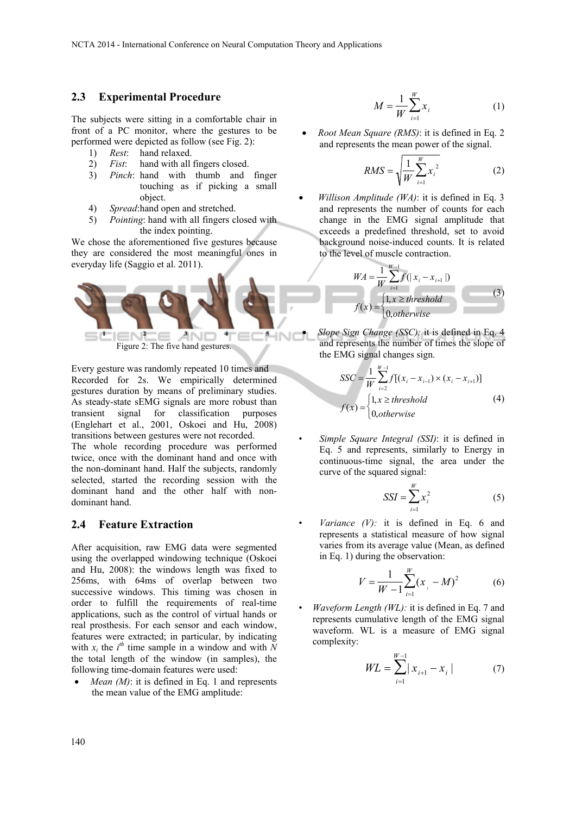#### **2.3 Experimental Procedure**

The subjects were sitting in a comfortable chair in front of a PC monitor, where the gestures to be performed were depicted as follow (see Fig. 2):

- 1) *Rest*: hand relaxed.
- 2) *Fist*: hand with all fingers closed.
- 3) *Pinch*: hand with thumb and finger touching as if picking a small object.
- 4) *Spread*: hand open and stretched.
- 5) *Pointing*: hand with all fingers closed with the index pointing.

We chose the aforementioned five gestures because they are considered the most meaningful ones in everyday life (Saggio et al. 2011).



Every gesture was randomly repeated 10 times and Recorded for 2s. We empirically determined gestures duration by means of preliminary studies. As steady-state sEMG signals are more robust than transient signal for classification purposes (Englehart et al., 2001, Oskoei and Hu, 2008) transitions between gestures were not recorded.

The whole recording procedure was performed twice, once with the dominant hand and once with the non-dominant hand. Half the subjects, randomly selected, started the recording session with the dominant hand and the other half with nondominant hand.

#### **2.4 Feature Extraction**

After acquisition, raw EMG data were segmented using the overlapped windowing technique (Oskoei and Hu, 2008): the windows length was fixed to 256ms, with 64ms of overlap between two successive windows. This timing was chosen in order to fulfill the requirements of real-time applications, such as the control of virtual hands or real prosthesis. For each sensor and each window, features were extracted; in particular, by indicating with  $x_i$  the  $i^h$  time sample in a window and with  $N$ the total length of the window (in samples), the following time-domain features were used:

*Mean (M)*: it is defined in Eq. 1 and represents the mean value of the EMG amplitude:

$$
M = \frac{1}{W} \sum_{i=1}^{W} x_i
$$
 (1)

 *Root Mean Square (RMS)*: it is defined in Eq. 2 and represents the mean power of the signal.

$$
RMS = \sqrt{\frac{1}{W} \sum_{i=1}^{W} x_i^2}
$$
 (2)

 *Willison Amplitude (WA)*: it is defined in Eq. 3 and represents the number of counts for each change in the EMG signal amplitude that exceeds a predefined threshold, set to avoid background noise-induced counts. It is related to the level of muscle contraction.

$$
WA = \frac{1}{W} \sum_{i=1}^{W-1} f(|x_i - x_{i+1}|)
$$
  

$$
f(x) = \begin{cases} 1, x \ge threshold \\ 0, otherwise \end{cases}
$$
 (3)

 *Slope Sign Change (SSC):* it is defined in Eq. 4 and represents the number of times the slope of the EMG signal changes sign.

$$
SSC = \frac{1}{W} \sum_{i=2}^{W-1} f[(x_i - x_{i-1}) \times (x_i - x_{i+1})]
$$
  

$$
f(x) = \begin{cases} 1, x \ge threshold \\ 0, otherwise \end{cases}
$$
 (4)

• *Simple Square Integral (SSI)*: it is defined in Eq. 5 and represents, similarly to Energy in continuous-time signal, the area under the curve of the squared signal:

$$
SSI = \sum_{i=1}^{W} x_i^2 \tag{5}
$$

*Variance*  $(V)$ : it is defined in Eq. 6 and represents a statistical measure of how signal varies from its average value (Mean, as defined in Eq. 1) during the observation:

$$
V = \frac{1}{W - 1} \sum_{i=1}^{W} (x_i - M)^2
$$
 (6)

*Waveform Length (WL):* it is defined in Eq. 7 and represents cumulative length of the EMG signal waveform. WL is a measure of EMG signal complexity:

$$
WL = \sum_{i=1}^{W-1} |x_{i+1} - x_i|
$$
 (7)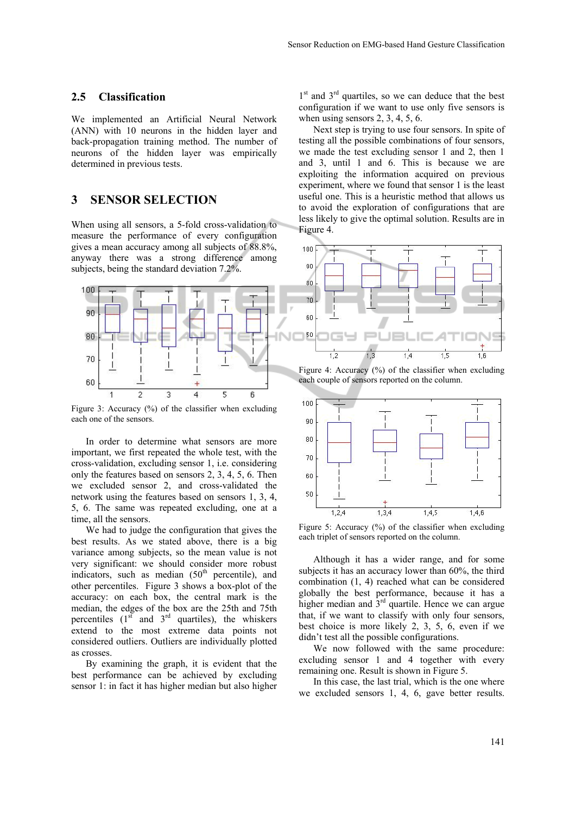#### **2.5 Classification**

We implemented an Artificial Neural Network (ANN) with 10 neurons in the hidden layer and back-propagation training method. The number of neurons of the hidden layer was empirically determined in previous tests.

### **3 SENSOR SELECTION**

When using all sensors, a 5-fold cross-validation to measure the performance of every configuration gives a mean accuracy among all subjects of 88.8%, anyway there was a strong difference among subjects, being the standard deviation 7.2%.



Figure 3: Accuracy  $(\%)$  of the classifier when excluding each one of the sensors.

In order to determine what sensors are more important, we first repeated the whole test, with the cross-validation, excluding sensor 1, i.e. considering only the features based on sensors 2, 3, 4, 5, 6. Then we excluded sensor 2, and cross-validated the network using the features based on sensors 1, 3, 4, 5, 6. The same was repeated excluding, one at a time, all the sensors.

We had to judge the configuration that gives the best results. As we stated above, there is a big variance among subjects, so the mean value is not very significant: we should consider more robust indicators, such as median  $(50<sup>th</sup>$  percentile), and other percentiles. Figure 3 shows a box-plot of the accuracy: on each box, the central mark is the median, the edges of the box are the 25th and 75th percentiles  $(1<sup>st</sup>$  and  $3<sup>rd</sup>$  quartiles), the whiskers extend to the most extreme data points not considered outliers. Outliers are individually plotted as crosses.

By examining the graph, it is evident that the best performance can be achieved by excluding sensor 1: in fact it has higher median but also higher

 $1<sup>st</sup>$  and  $3<sup>rd</sup>$  quartiles, so we can deduce that the best configuration if we want to use only five sensors is when using sensors  $2, 3, 4, 5, 6$ .

Next step is trying to use four sensors. In spite of testing all the possible combinations of four sensors, we made the test excluding sensor 1 and 2, then 1 and 3, until 1 and 6. This is because we are exploiting the information acquired on previous experiment, where we found that sensor 1 is the least useful one. This is a heuristic method that allows us to avoid the exploration of configurations that are less likely to give the optimal solution. Results are in Figure 4.



Figure 4: Accuracy  $(\%)$  of the classifier when excluding each couple of sensors reported on the column.



Figure 5: Accuracy  $(\frac{9}{6})$  of the classifier when excluding each triplet of sensors reported on the column.

Although it has a wider range, and for some subjects it has an accuracy lower than 60%, the third combination (1, 4) reached what can be considered globally the best performance, because it has a higher median and  $3<sup>rd</sup>$  quartile. Hence we can argue that, if we want to classify with only four sensors, best choice is more likely 2, 3, 5, 6, even if we didn't test all the possible configurations.

We now followed with the same procedure: excluding sensor 1 and 4 together with every remaining one. Result is shown in Figure 5.

In this case, the last trial, which is the one where we excluded sensors 1, 4, 6, gave better results.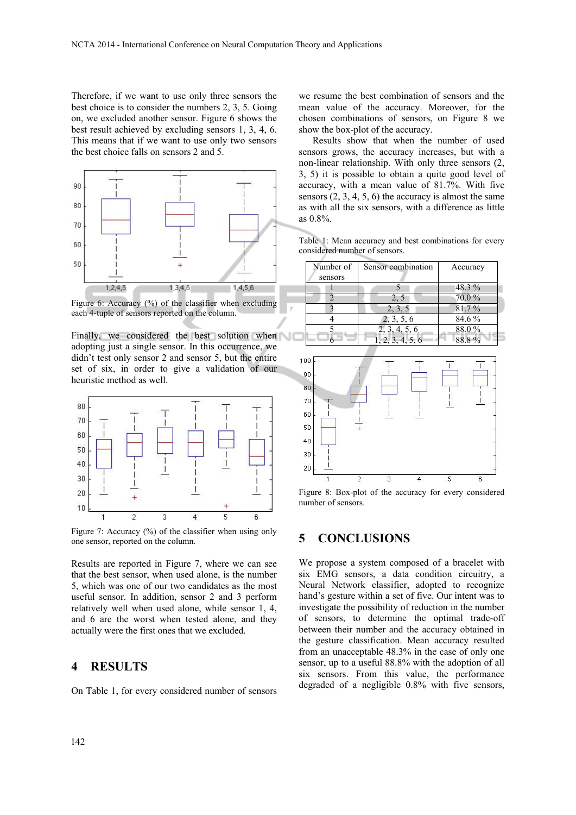Therefore, if we want to use only three sensors the best choice is to consider the numbers 2, 3, 5. Going on, we excluded another sensor. Figure 6 shows the best result achieved by excluding sensors 1, 3, 4, 6. This means that if we want to use only two sensors the best choice falls on sensors 2 and 5.



Figure 6: Accuracy (%) of the classifier when excluding each 4-tuple of sensors reported on the column.

Finally, we considered the best solution when adopting just a single sensor. In this occurrence, we didn't test only sensor 2 and sensor 5, but the entire set of six, in order to give a validation of our heuristic method as well.



Figure 7: Accuracy (%) of the classifier when using only one sensor, reported on the column.

Results are reported in Figure 7, where we can see that the best sensor, when used alone, is the number 5, which was one of our two candidates as the most useful sensor. In addition, sensor 2 and 3 perform relatively well when used alone, while sensor 1, 4, and 6 are the worst when tested alone, and they actually were the first ones that we excluded.

#### **4 RESULTS**

On Table 1, for every considered number of sensors

we resume the best combination of sensors and the mean value of the accuracy. Moreover, for the chosen combinations of sensors, on Figure 8 we show the box-plot of the accuracy.

Results show that when the number of used sensors grows, the accuracy increases, but with a non-linear relationship. With only three sensors (2, 3, 5) it is possible to obtain a quite good level of accuracy, with a mean value of 81.7%. With five sensors  $(2, 3, 4, 5, 6)$  the accuracy is almost the same as with all the six sensors, with a difference as little as 0.8%.

Table 1: Mean accuracy and best combinations for every considered number of sensors.

| Number of<br>sensors | Sensor combination | Accuracy |
|----------------------|--------------------|----------|
|                      |                    | $48.3\%$ |
|                      | 25                 | 70.0%    |
|                      | 2, 3, 5            | 81.7%    |
|                      | 2, 3, 5, 6         | 84.6 %   |
|                      | 4.5.6              | 88.0%    |
|                      |                    |          |



Figure 8: Box-plot of the accuracy for every considered number of sensors.

### **5 CONCLUSIONS**

We propose a system composed of a bracelet with six EMG sensors, a data condition circuitry, a Neural Network classifier, adopted to recognize hand's gesture within a set of five. Our intent was to investigate the possibility of reduction in the number of sensors, to determine the optimal trade-off between their number and the accuracy obtained in the gesture classification. Mean accuracy resulted from an unacceptable 48.3% in the case of only one sensor, up to a useful 88.8% with the adoption of all six sensors. From this value, the performance degraded of a negligible 0.8% with five sensors,